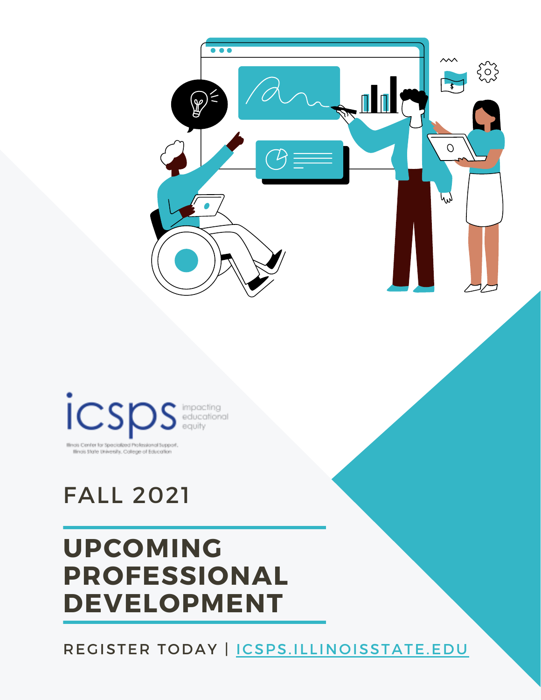



Illinois Center for Specialized Professional Support Ilinois State University, College of Education

# FALL 2021

# **UPCOMING PROFESSIONAL DEVELOPMENT**

REGISTER TODAY | CSPS.ILLINOISSTATE.EDU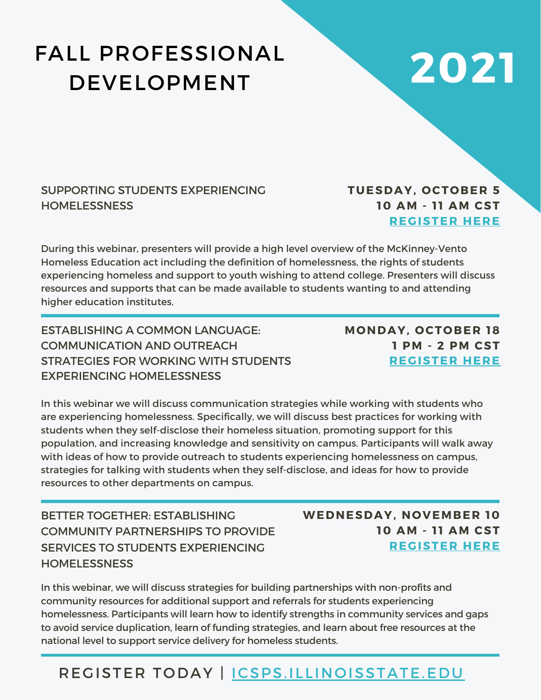# FALL PROFESSIONAL DEVELOPMENT

# **2021**

### SUPPORTING STUDENTS EXPERIENCING **HOMELESSNESS**

## **TUESDAY, OCTOBER 5 10 AM - 1 1 AM CST [REGISTER](https://illinoisstate.zoom.us/webinar/register/WN_uopj3H8KT3GIcA5AFEgvEA) HERE**

During this webinar, presenters will provide a high level overview of the McKinney-Vento Homeless Education act including the definition of homelessness, the rights of students experiencing homeless and support to youth wishing to attend college. Presenters will discuss resources and supports that can be made available to students wanting to and attending higher education institutes.

ESTABLISHING A COMMON LANGUAGE: COMMUNICATION AND OUTREACH STRATEGIES FOR WORKING WITH STUDENTS EXPERIENCING HOMELESSNESS

**MONDAY, OCTOBER 18 1 PM - 2 PM CST [REGISTER](https://illinoisstate.zoom.us/webinar/register/WN_4DILSA3SQfq80jRFUbBsIw) HERE**

In this webinar we will discuss communication strategies while working with students who are experiencing homelessness. Specifically, we will discuss best practices for working with students when they self-disclose their homeless situation, promoting support for this population, and increasing knowledge and sensitivity on campus. Participants will walk away with ideas of how to provide outreach to students experiencing homelessness on campus, strategies for talking with students when they self-disclose, and ideas for how to provide resources to other departments on campus.

BETTER TOGETHER: ESTABLISHING COMMUNITY PARTNERSHIPS TO PROVIDE SERVICES TO STUDENTS EXPERIENCING **HOMELESSNESS** 

**WEDNESDAY, NOVEMBER 10 10 AM - 1 1 AM CST [REGISTER](https://illinoisstate.zoom.us/webinar/register/WN_uVjyn4dTTf2ilsFzc5sNiA) HERE**

In this webinar, we will discuss strategies for building partnerships with non-profits and community resources for additional support and referrals for students experiencing homelessness. Participants will learn how to identify strengths in community services and gaps to avoid service duplication, learn of funding strategies, and learn about free resources at the national level to support service delivery for homeless students.

## REGISTER TODAY | [ICSPS.ILLINOISSTATE.EDU](http://icsps.illinoisstate.edu/)